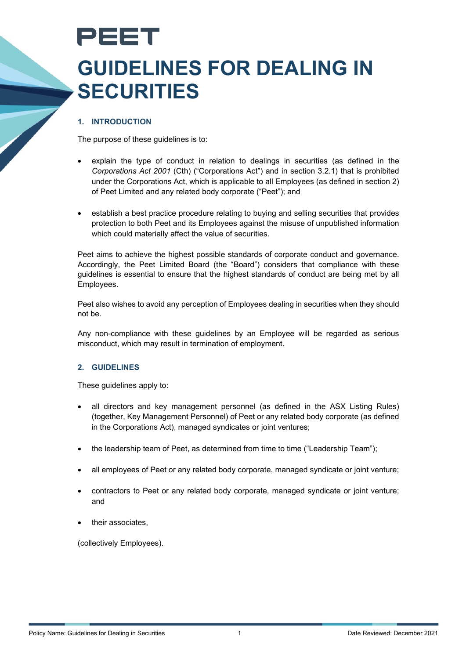# PEET **GUIDELINES FOR DEALING IN SECURITIES**

# **1. INTRODUCTION**

The purpose of these guidelines is to:

- explain the type of conduct in relation to dealings in securities (as defined in the *Corporations Act 2001* (Cth) ("Corporations Act") and in section 3.2.1) that is prohibited under the Corporations Act, which is applicable to all Employees (as defined in section 2) of Peet Limited and any related body corporate ("Peet"); and
- establish a best practice procedure relating to buying and selling securities that provides protection to both Peet and its Employees against the misuse of unpublished information which could materially affect the value of securities.

Peet aims to achieve the highest possible standards of corporate conduct and governance. Accordingly, the Peet Limited Board (the "Board") considers that compliance with these guidelines is essential to ensure that the highest standards of conduct are being met by all Employees.

Peet also wishes to avoid any perception of Employees dealing in securities when they should not be.

Any non-compliance with these guidelines by an Employee will be regarded as serious misconduct, which may result in termination of employment.

#### **2. GUIDELINES**

These guidelines apply to:

- all directors and key management personnel (as defined in the ASX Listing Rules) (together, Key Management Personnel) of Peet or any related body corporate (as defined in the Corporations Act), managed syndicates or joint ventures;
- the leadership team of Peet, as determined from time to time ("Leadership Team");
- all employees of Peet or any related body corporate, managed syndicate or joint venture;
- contractors to Peet or any related body corporate, managed syndicate or joint venture; and
- their associates,

(collectively Employees).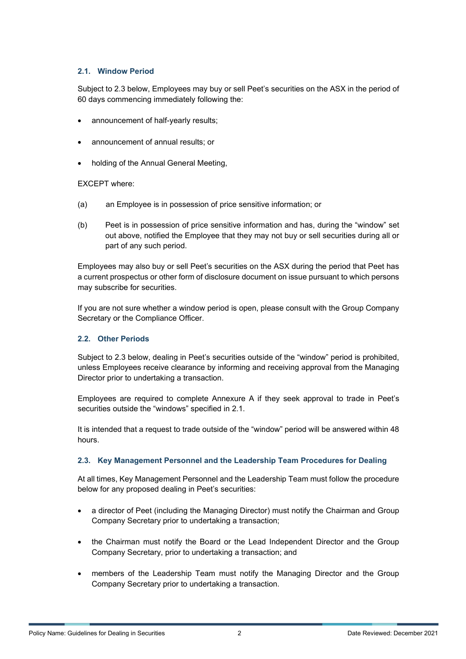# **2.1. Window Period**

Subject to 2.3 below, Employees may buy or sell Peet's securities on the ASX in the period of 60 days commencing immediately following the:

- announcement of half-yearly results;
- announcement of annual results; or
- holding of the Annual General Meeting,

EXCEPT where:

- (a) an Employee is in possession of price sensitive information; or
- (b) Peet is in possession of price sensitive information and has, during the "window" set out above, notified the Employee that they may not buy or sell securities during all or part of any such period.

Employees may also buy or sell Peet's securities on the ASX during the period that Peet has a current prospectus or other form of disclosure document on issue pursuant to which persons may subscribe for securities.

If you are not sure whether a window period is open, please consult with the Group Company Secretary or the Compliance Officer.

#### **2.2. Other Periods**

Subject to 2.3 below, dealing in Peet's securities outside of the "window" period is prohibited, unless Employees receive clearance by informing and receiving approval from the Managing Director prior to undertaking a transaction.

Employees are required to complete Annexure A if they seek approval to trade in Peet's securities outside the "windows" specified in 2.1.

It is intended that a request to trade outside of the "window" period will be answered within 48 hours.

#### **2.3. Key Management Personnel and the Leadership Team Procedures for Dealing**

At all times, Key Management Personnel and the Leadership Team must follow the procedure below for any proposed dealing in Peet's securities:

- a director of Peet (including the Managing Director) must notify the Chairman and Group Company Secretary prior to undertaking a transaction;
- the Chairman must notify the Board or the Lead Independent Director and the Group Company Secretary, prior to undertaking a transaction; and
- members of the Leadership Team must notify the Managing Director and the Group Company Secretary prior to undertaking a transaction.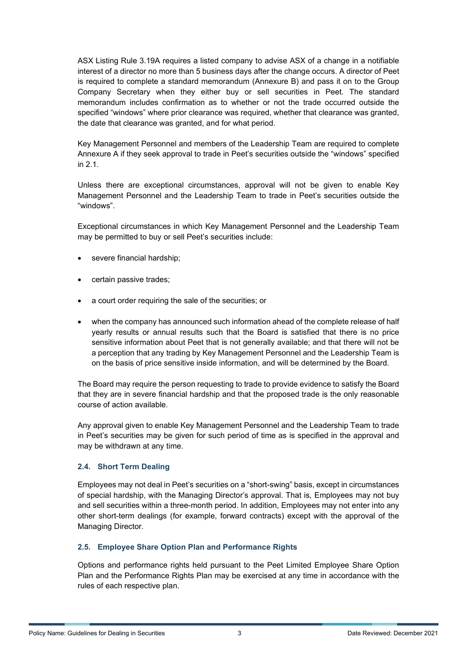ASX Listing Rule 3.19A requires a listed company to advise ASX of a change in a notifiable interest of a director no more than 5 business days after the change occurs. A director of Peet is required to complete a standard memorandum (Annexure B) and pass it on to the Group Company Secretary when they either buy or sell securities in Peet. The standard memorandum includes confirmation as to whether or not the trade occurred outside the specified "windows" where prior clearance was required, whether that clearance was granted, the date that clearance was granted, and for what period.

Key Management Personnel and members of the Leadership Team are required to complete Annexure A if they seek approval to trade in Peet's securities outside the "windows" specified in 2.1.

Unless there are exceptional circumstances, approval will not be given to enable Key Management Personnel and the Leadership Team to trade in Peet's securities outside the "windows".

Exceptional circumstances in which Key Management Personnel and the Leadership Team may be permitted to buy or sell Peet's securities include:

- severe financial hardship;
- certain passive trades;
- a court order requiring the sale of the securities; or
- when the company has announced such information ahead of the complete release of half yearly results or annual results such that the Board is satisfied that there is no price sensitive information about Peet that is not generally available; and that there will not be a perception that any trading by Key Management Personnel and the Leadership Team is on the basis of price sensitive inside information, and will be determined by the Board.

The Board may require the person requesting to trade to provide evidence to satisfy the Board that they are in severe financial hardship and that the proposed trade is the only reasonable course of action available.

Any approval given to enable Key Management Personnel and the Leadership Team to trade in Peet's securities may be given for such period of time as is specified in the approval and may be withdrawn at any time.

# **2.4. Short Term Dealing**

Employees may not deal in Peet's securities on a "short-swing" basis, except in circumstances of special hardship, with the Managing Director's approval. That is, Employees may not buy and sell securities within a three-month period. In addition, Employees may not enter into any other short-term dealings (for example, forward contracts) except with the approval of the Managing Director.

# **2.5. Employee Share Option Plan and Performance Rights**

Options and performance rights held pursuant to the Peet Limited Employee Share Option Plan and the Performance Rights Plan may be exercised at any time in accordance with the rules of each respective plan.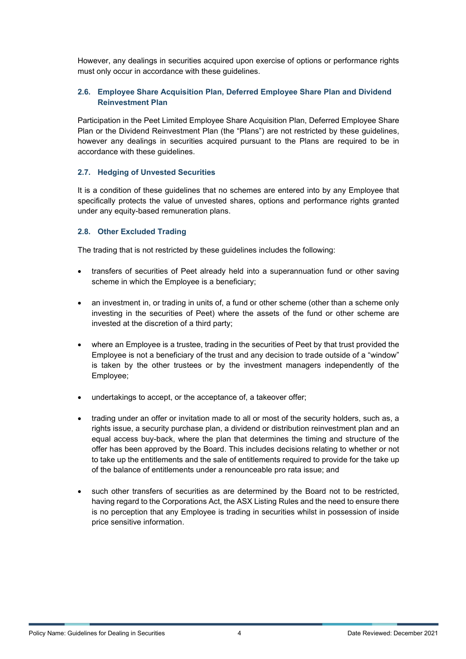However, any dealings in securities acquired upon exercise of options or performance rights must only occur in accordance with these guidelines.

# **2.6. Employee Share Acquisition Plan, Deferred Employee Share Plan and Dividend Reinvestment Plan**

Participation in the Peet Limited Employee Share Acquisition Plan, Deferred Employee Share Plan or the Dividend Reinvestment Plan (the "Plans") are not restricted by these guidelines, however any dealings in securities acquired pursuant to the Plans are required to be in accordance with these guidelines.

## **2.7. Hedging of Unvested Securities**

It is a condition of these guidelines that no schemes are entered into by any Employee that specifically protects the value of unvested shares, options and performance rights granted under any equity-based remuneration plans.

## **2.8. Other Excluded Trading**

The trading that is not restricted by these guidelines includes the following:

- transfers of securities of Peet already held into a superannuation fund or other saving scheme in which the Employee is a beneficiary;
- an investment in, or trading in units of, a fund or other scheme (other than a scheme only investing in the securities of Peet) where the assets of the fund or other scheme are invested at the discretion of a third party;
- where an Employee is a trustee, trading in the securities of Peet by that trust provided the Employee is not a beneficiary of the trust and any decision to trade outside of a "window" is taken by the other trustees or by the investment managers independently of the Employee;
- undertakings to accept, or the acceptance of, a takeover offer;
- trading under an offer or invitation made to all or most of the security holders, such as, a rights issue, a security purchase plan, a dividend or distribution reinvestment plan and an equal access buy-back, where the plan that determines the timing and structure of the offer has been approved by the Board. This includes decisions relating to whether or not to take up the entitlements and the sale of entitlements required to provide for the take up of the balance of entitlements under a renounceable pro rata issue; and
- such other transfers of securities as are determined by the Board not to be restricted, having regard to the Corporations Act, the ASX Listing Rules and the need to ensure there is no perception that any Employee is trading in securities whilst in possession of inside price sensitive information.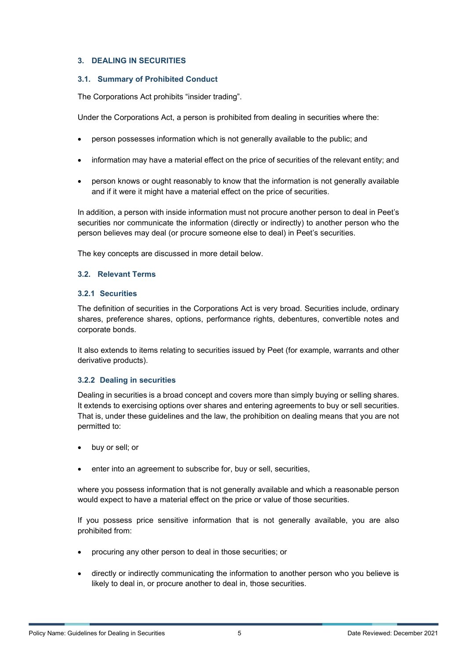## **3. DEALING IN SECURITIES**

#### **3.1. Summary of Prohibited Conduct**

The Corporations Act prohibits "insider trading".

Under the Corporations Act, a person is prohibited from dealing in securities where the:

- person possesses information which is not generally available to the public; and
- information may have a material effect on the price of securities of the relevant entity; and
- person knows or ought reasonably to know that the information is not generally available and if it were it might have a material effect on the price of securities.

In addition, a person with inside information must not procure another person to deal in Peet's securities nor communicate the information (directly or indirectly) to another person who the person believes may deal (or procure someone else to deal) in Peet's securities.

The key concepts are discussed in more detail below.

#### **3.2. Relevant Terms**

#### **3.2.1 Securities**

The definition of securities in the Corporations Act is very broad. Securities include, ordinary shares, preference shares, options, performance rights, debentures, convertible notes and corporate bonds.

It also extends to items relating to securities issued by Peet (for example, warrants and other derivative products).

#### **3.2.2 Dealing in securities**

Dealing in securities is a broad concept and covers more than simply buying or selling shares. It extends to exercising options over shares and entering agreements to buy or sell securities. That is, under these guidelines and the law, the prohibition on dealing means that you are not permitted to:

- buy or sell; or
- enter into an agreement to subscribe for, buy or sell, securities,

where you possess information that is not generally available and which a reasonable person would expect to have a material effect on the price or value of those securities.

If you possess price sensitive information that is not generally available, you are also prohibited from:

- procuring any other person to deal in those securities; or
- directly or indirectly communicating the information to another person who you believe is likely to deal in, or procure another to deal in, those securities.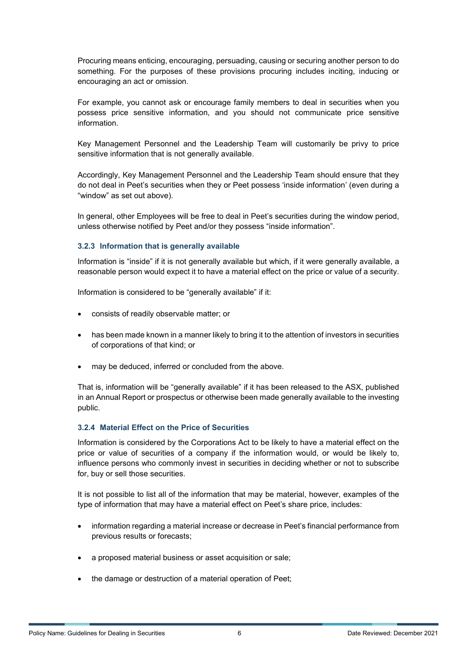Procuring means enticing, encouraging, persuading, causing or securing another person to do something. For the purposes of these provisions procuring includes inciting, inducing or encouraging an act or omission.

For example, you cannot ask or encourage family members to deal in securities when you possess price sensitive information, and you should not communicate price sensitive information.

Key Management Personnel and the Leadership Team will customarily be privy to price sensitive information that is not generally available.

Accordingly, Key Management Personnel and the Leadership Team should ensure that they do not deal in Peet's securities when they or Peet possess 'inside information' (even during a "window" as set out above).

In general, other Employees will be free to deal in Peet's securities during the window period, unless otherwise notified by Peet and/or they possess "inside information".

## **3.2.3 Information that is generally available**

Information is "inside" if it is not generally available but which, if it were generally available, a reasonable person would expect it to have a material effect on the price or value of a security.

Information is considered to be "generally available" if it:

- consists of readily observable matter; or
- has been made known in a manner likely to bring it to the attention of investors in securities of corporations of that kind; or
- may be deduced, inferred or concluded from the above.

That is, information will be "generally available" if it has been released to the ASX, published in an Annual Report or prospectus or otherwise been made generally available to the investing public.

#### **3.2.4 Material Effect on the Price of Securities**

Information is considered by the Corporations Act to be likely to have a material effect on the price or value of securities of a company if the information would, or would be likely to, influence persons who commonly invest in securities in deciding whether or not to subscribe for, buy or sell those securities.

It is not possible to list all of the information that may be material, however, examples of the type of information that may have a material effect on Peet's share price, includes:

- information regarding a material increase or decrease in Peet's financial performance from previous results or forecasts;
- a proposed material business or asset acquisition or sale;
- the damage or destruction of a material operation of Peet;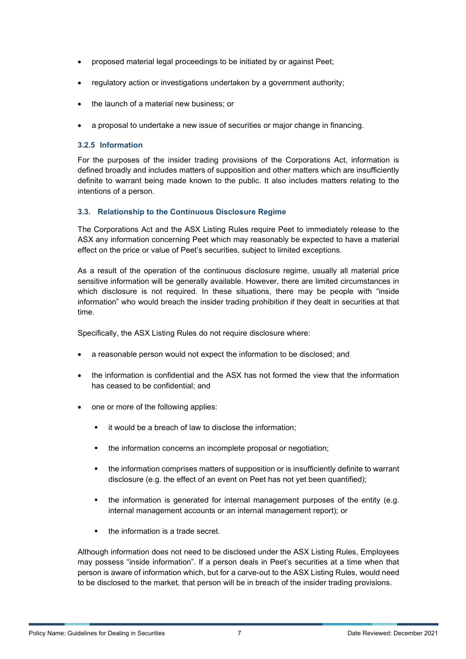- proposed material legal proceedings to be initiated by or against Peet;
- regulatory action or investigations undertaken by a government authority;
- the launch of a material new business; or
- a proposal to undertake a new issue of securities or major change in financing.

#### **3.2.5 Information**

For the purposes of the insider trading provisions of the Corporations Act, information is defined broadly and includes matters of supposition and other matters which are insufficiently definite to warrant being made known to the public. It also includes matters relating to the intentions of a person.

## **3.3. Relationship to the Continuous Disclosure Regime**

The Corporations Act and the ASX Listing Rules require Peet to immediately release to the ASX any information concerning Peet which may reasonably be expected to have a material effect on the price or value of Peet's securities, subject to limited exceptions.

As a result of the operation of the continuous disclosure regime, usually all material price sensitive information will be generally available. However, there are limited circumstances in which disclosure is not required. In these situations, there may be people with "inside information" who would breach the insider trading prohibition if they dealt in securities at that time.

Specifically, the ASX Listing Rules do not require disclosure where:

- a reasonable person would not expect the information to be disclosed; and
- the information is confidential and the ASX has not formed the view that the information has ceased to be confidential; and
- one or more of the following applies:
	- **i** it would be a breach of law to disclose the information;
	- the information concerns an incomplete proposal or negotiation;
	- the information comprises matters of supposition or is insufficiently definite to warrant disclosure (e.g. the effect of an event on Peet has not yet been quantified);
	- the information is generated for internal management purposes of the entity (e.g. internal management accounts or an internal management report); or
	- the information is a trade secret.

Although information does not need to be disclosed under the ASX Listing Rules, Employees may possess "inside information". If a person deals in Peet's securities at a time when that person is aware of information which, but for a carve-out to the ASX Listing Rules, would need to be disclosed to the market, that person will be in breach of the insider trading provisions.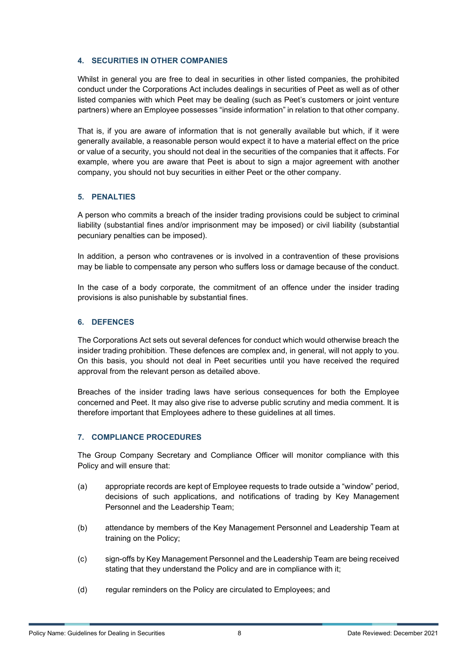# **4. SECURITIES IN OTHER COMPANIES**

Whilst in general you are free to deal in securities in other listed companies, the prohibited conduct under the Corporations Act includes dealings in securities of Peet as well as of other listed companies with which Peet may be dealing (such as Peet's customers or joint venture partners) where an Employee possesses "inside information" in relation to that other company.

That is, if you are aware of information that is not generally available but which, if it were generally available, a reasonable person would expect it to have a material effect on the price or value of a security, you should not deal in the securities of the companies that it affects. For example, where you are aware that Peet is about to sign a major agreement with another company, you should not buy securities in either Peet or the other company.

#### **5. PENALTIES**

A person who commits a breach of the insider trading provisions could be subject to criminal liability (substantial fines and/or imprisonment may be imposed) or civil liability (substantial pecuniary penalties can be imposed).

In addition, a person who contravenes or is involved in a contravention of these provisions may be liable to compensate any person who suffers loss or damage because of the conduct.

In the case of a body corporate, the commitment of an offence under the insider trading provisions is also punishable by substantial fines.

# **6. DEFENCES**

The Corporations Act sets out several defences for conduct which would otherwise breach the insider trading prohibition. These defences are complex and, in general, will not apply to you. On this basis, you should not deal in Peet securities until you have received the required approval from the relevant person as detailed above.

Breaches of the insider trading laws have serious consequences for both the Employee concerned and Peet. It may also give rise to adverse public scrutiny and media comment. It is therefore important that Employees adhere to these guidelines at all times.

# **7. COMPLIANCE PROCEDURES**

The Group Company Secretary and Compliance Officer will monitor compliance with this Policy and will ensure that:

- (a) appropriate records are kept of Employee requests to trade outside a "window" period, decisions of such applications, and notifications of trading by Key Management Personnel and the Leadership Team;
- (b) attendance by members of the Key Management Personnel and Leadership Team at training on the Policy;
- (c) sign-offs by Key Management Personnel and the Leadership Team are being received stating that they understand the Policy and are in compliance with it;
- (d) regular reminders on the Policy are circulated to Employees; and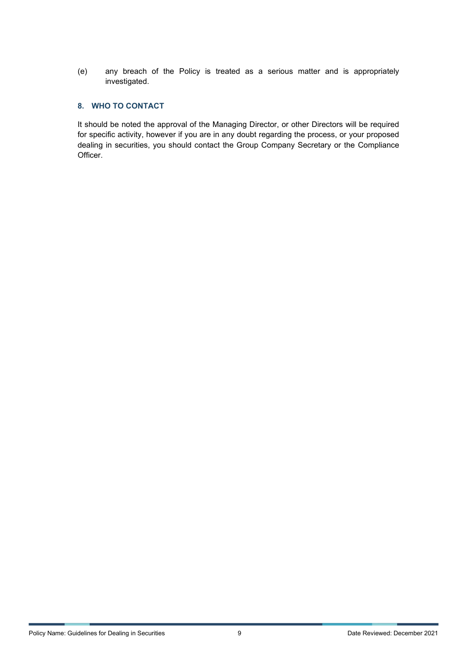(e) any breach of the Policy is treated as a serious matter and is appropriately investigated.

# **8. WHO TO CONTACT**

It should be noted the approval of the Managing Director, or other Directors will be required for specific activity, however if you are in any doubt regarding the process, or your proposed dealing in securities, you should contact the Group Company Secretary or the Compliance Officer.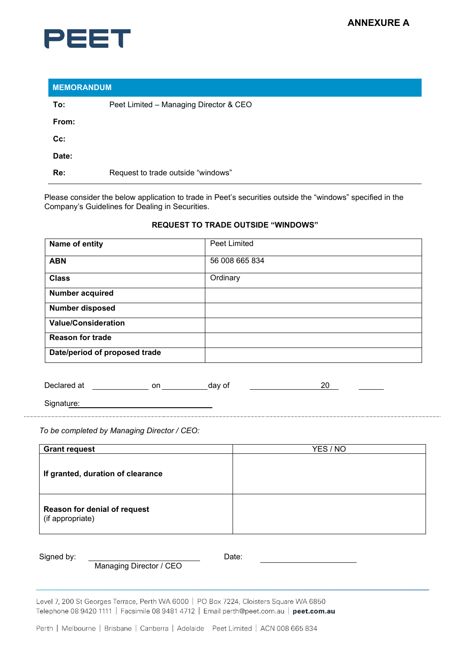

| <b>MEMORANDUM</b> |                                        |  |
|-------------------|----------------------------------------|--|
| To:               | Peet Limited - Managing Director & CEO |  |
| From:             |                                        |  |
| Cc:               |                                        |  |
| Date:             |                                        |  |
| Re:               | Request to trade outside "windows"     |  |

Please consider the below application to trade in Peet's securities outside the "windows" specified in the Company's Guidelines for Dealing in Securities.

## **REQUEST TO TRADE OUTSIDE "WINDOWS"**

| Name of entity                | Peet Limited   |
|-------------------------------|----------------|
| <b>ABN</b>                    | 56 008 665 834 |
| <b>Class</b>                  | Ordinary       |
| Number acquired               |                |
| <b>Number disposed</b>        |                |
| <b>Value/Consideration</b>    |                |
| <b>Reason for trade</b>       |                |
| Date/period of proposed trade |                |

| $\overline{\phantom{a}}$<br>Dec: | -- |  |
|----------------------------------|----|--|
|                                  |    |  |

Signature:

*To be completed by Managing Director / CEO:*

| <b>Grant request</b>                             | YES / NO |
|--------------------------------------------------|----------|
| If granted, duration of clearance                |          |
| Reason for denial of request<br>(if appropriate) |          |

Signed by: Date:

Managing Director / CEO

Level 7, 200 St Georges Terrace, Perth WA 6000 | PO Box 7224, Cloisters Square WA 6850 Telephone 08 9420 1111 | Facsimile 08 9481 4712 | Email perth@peet.com.au | peet.com.au